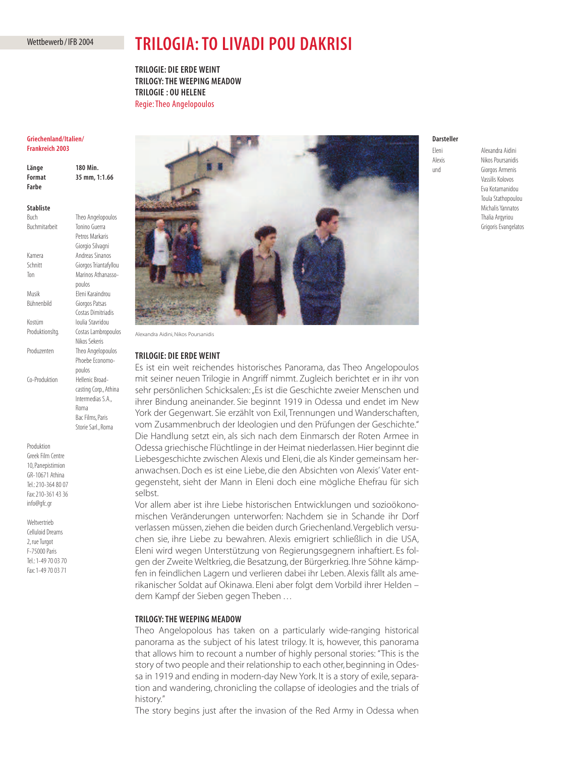## Wettbewerb / IFB 2004

# **TRILOGIA: TO LIVADI POU DAKRISI**

**TRILOGIE: DIE ERDE WEINT TRILOGY: THE WEEPING MEADOW TRILOGIE : OU HELENE** Regie: Theo Angelopoulos

## **Griechenland/Italien/ Frankreich 2003**

| Länge  | 180 Min.      |
|--------|---------------|
| Format | 35 mm, 1:1.66 |
| Farbe  |               |
|        |               |

## **Stabliste**

| Buch            | Theo Angelopoulos     |
|-----------------|-----------------------|
| Buchmitarbeit   | Tonino Guerra         |
|                 | Petros Markaris       |
|                 | Giorgio Silvagni      |
| Kamera          | Andreas Sinanos       |
| Schnitt         | Giorgos Triantafyllou |
| Ton             | Marinos Athanasso-    |
|                 | poulos                |
| Musik           | Fleni Karaindrou      |
| Bühnenbild      | Giorgos Patsas        |
|                 | Costas Dimitriadis    |
| Kostüm          | loulia Stavridou      |
| ProduktionsItg. | Costas Lambropoulos   |
|                 | Nikos Sekeris         |
| Produzenten     | Theo Angelopoulos     |
|                 | Phoebe Economo-       |
|                 | poulos                |
| Co-Produktion   | Hellenic Broad-       |
|                 | casting Corp., Athina |
|                 | Intermedias S.A.,     |
|                 | Roma                  |
|                 | Bac Films, Paris      |
|                 | Storie Sarl Roma      |

Produktion Greek Film Centre 10, Panepistimion GR-10671 Athina Tel.: 210-364 80 07 Fax: 210-361 43 36 info@gfc.gr

Weltvertrieb Celluloid Dreams 2, rue Turgot F-75000 Paris Tel.: 1-49 70 03 70 Fax: 1-49 70 03 71



Alexandra Aidini, Nikos Poursanidis

## **TRILOGIE: DIE ERDE WEINT**

Es ist ein weit reichendes historisches Panorama, das Theo Angelopoulos mit seiner neuen Trilogie in Angriff nimmt. Zugleich berichtet er in ihr von sehr persönlichen Schicksalen: "Es ist die Geschichte zweier Menschen und ihrer Bindung aneinander. Sie beginnt 1919 in Odessa und endet im New York der Gegenwart. Sie erzählt von Exil, Trennungen und Wanderschaften, vom Zusammenbruch der Ideologien und den Prüfungen der Geschichte." Die Handlung setzt ein, als sich nach dem Einmarsch der Roten Armee in Odessa griechische Flüchtlinge in der Heimat niederlassen. Hier beginnt die Liebesgeschichte zwischen Alexis und Eleni, die als Kinder gemeinsam heranwachsen. Doch es ist eine Liebe, die den Absichten von Alexis' Vater entgegensteht, sieht der Mann in Eleni doch eine mögliche Ehefrau für sich selbst.

Vor allem aber ist ihre Liebe historischen Entwicklungen und sozioökonomischen Veränderungen unterworfen: Nachdem sie in Schande ihr Dorf verlassen müssen, ziehen die beiden durch Griechenland.Vergeblich versuchen sie, ihre Liebe zu bewahren. Alexis emigriert schließlich in die USA, Eleni wird wegen Unterstützung von Regierungsgegnern inhaftiert. Es folgen der Zweite Weltkrieg, die Besatzung, der Bürgerkrieg. Ihre Söhne kämpfen in feindlichen Lagern und verlieren dabei ihr Leben. Alexis fällt als amerikanischer Soldat auf Okinawa. Eleni aber folgt dem Vorbild ihrer Helden – dem Kampf der Sieben gegen Theben ...

# **TRILOGY: THE WEEPING MEADOW**

Theo Angelopolous has taken on a particularly wide-ranging historical panorama as the subject of his latest trilogy. It is, however, this panorama that allows him to recount a number of highly personal stories: "This is the story of two people and their relationship to each other, beginning in Odessa in 1919 and ending in modern-day New York. It is a story of exile, separation and wandering, chronicling the collapse of ideologies and the trials of history."

The story begins just after the invasion of the Red Army in Odessa when

# **Darsteller**

Eleni Alexandra Aidini

Alexis Nikos Poursanidis und Giorgos Armenis Vassilis Kolovos Eva Kotamanidou Toula Stathopoulou Michalis Yannatos Thalia Argyriou Grigoris Evangelatos